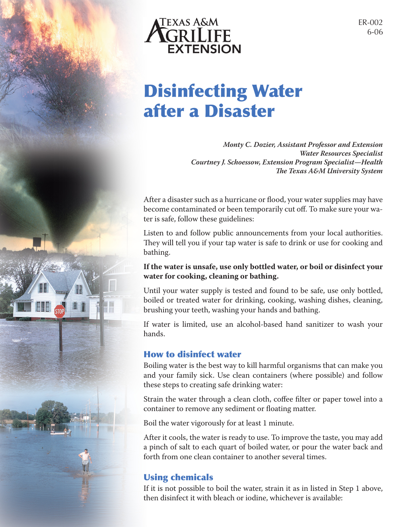

# Disinfecting Water after a Disaster

*Monty C. Dozier, Assistant Professor and Extension Water Resources Specialist Courtney J. Schoessow, Extension Program Specialist—Health The Texas A&M University System*

After a disaster such as a hurricane or flood, your water supplies may have become contaminated or been temporarily cut off. To make sure your water is safe, follow these guidelines:

Listen to and follow public announcements from your local authorities. They will tell you if your tap water is safe to drink or use for cooking and bathing.

### **If the water is unsafe, use only bottled water, or boil or disinfect your water for cooking, cleaning or bathing.**

Until your water supply is tested and found to be safe, use only bottled, boiled or treated water for drinking, cooking, washing dishes, cleaning, brushing your teeth, washing your hands and bathing.

If water is limited, use an alcohol-based hand sanitizer to wash your hands.

## How to disinfect water

Boiling water is the best way to kill harmful organisms that can make you and your family sick. Use clean containers (where possible) and follow these steps to creating safe drinking water:

Strain the water through a clean cloth, coffee filter or paper towel into a container to remove any sediment or floating matter.

Boil the water vigorously for at least 1 minute.

After it cools, the water is ready to use. To improve the taste, you may add a pinch of salt to each quart of boiled water, or pour the water back and forth from one clean container to another several times.

## Using chemicals

If it is not possible to boil the water, strain it as in listed in Step 1 above, then disinfect it with bleach or iodine, whichever is available: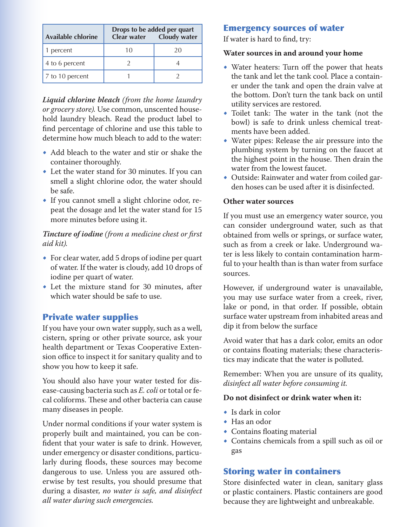| <b>Available chlorine</b> | Drops to be added per quart | Clear water  Cloudy water |
|---------------------------|-----------------------------|---------------------------|
| 1 percent                 | 10                          | 20                        |
| 4 to 6 percent            |                             |                           |
| 7 to 10 percent           |                             |                           |

*Liquid chlorine bleach (from the home laundry or grocery store).* Use common, unscented household laundry bleach. Read the product label to find percentage of chlorine and use this table to determine how much bleach to add to the water:

- Add bleach to the water and stir or shake the container thoroughly.
- Let the water stand for 30 minutes. If you can smell a slight chlorine odor, the water should be safe.
- • If you cannot smell a slight chlorine odor, repeat the dosage and let the water stand for 15 more minutes before using it.

#### *Tincture of iodine (from a medicine chest or first aid kit).*

- For clear water, add 5 drops of iodine per quart of water. If the water is cloudy, add 10 drops of iodine per quart of water.
- • Let the mixture stand for 30 minutes, after which water should be safe to use.

## Private water supplies

If you have your own water supply, such as a well, cistern, spring or other private source, ask your health department or Texas Cooperative Extension office to inspect it for sanitary quality and to show you how to keep it safe.

You should also have your water tested for disease-causing bacteria such as *E. coli* or total or fecal coliforms. These and other bacteria can cause many diseases in people.

Under normal conditions if your water system is properly built and maintained, you can be confident that your water is safe to drink. However, under emergency or disaster conditions, particularly during floods, these sources may become dangerous to use. Unless you are assured otherwise by test results, you should presume that during a disaster, *no water is safe, and disinfect all water during such emergencies.*

## Emergency sources of water

If water is hard to find, try:

#### **Water sources in and around your home**

- Water heaters: Turn off the power that heats the tank and let the tank cool. Place a container under the tank and open the drain valve at the bottom. Don't turn the tank back on until utility services are restored.
- Toilet tank: The water in the tank (not the bowl) is safe to drink unless chemical treatments have been added.
- • Water pipes: Release the air pressure into the plumbing system by turning on the faucet at the highest point in the house. Then drain the water from the lowest faucet.
- Outside: Rainwater and water from coiled garden hoses can be used after it is disinfected.

#### **Other water sources**

If you must use an emergency water source, you can consider underground water, such as that obtained from wells or springs, or surface water, such as from a creek or lake. Underground water is less likely to contain contamination harmful to your health than is than water from surface sources.

However, if underground water is unavailable, you may use surface water from a creek, river, lake or pond, in that order. If possible, obtain surface water upstream from inhabited areas and dip it from below the surface

Avoid water that has a dark color, emits an odor or contains floating materials; these characteristics may indicate that the water is polluted.

Remember: When you are unsure of its quality, *disinfect all water before consuming it.* 

#### **Do not disinfect or drink water when it:**

- Is dark in color
- • Has an odor
- • Contains floating material
- • Contains chemicals from a spill such as oil or gas

## Storing water in containers

Store disinfected water in clean, sanitary glass or plastic containers. Plastic containers are good because they are lightweight and unbreakable.